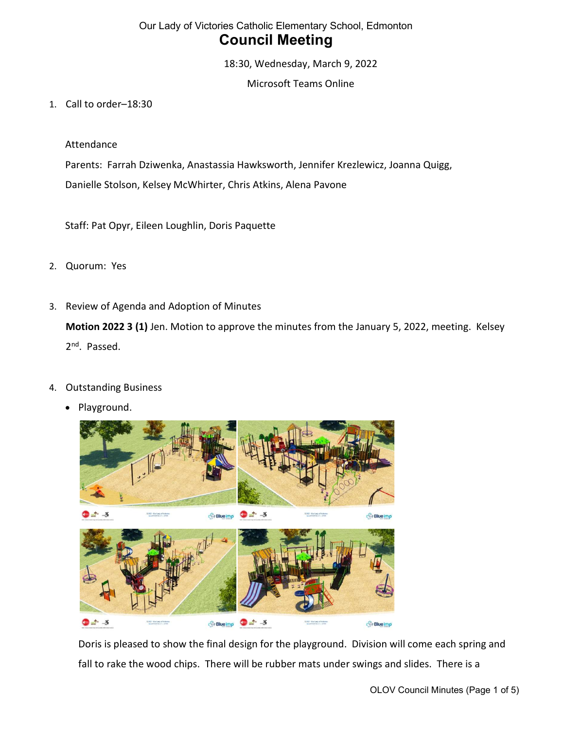18:30, Wednesday, March 9, 2022

Microsoft Teams Online

1. Call to order–18:30

Attendance

Parents: Farrah Dziwenka, Anastassia Hawksworth, Jennifer Krezlewicz, Joanna Quigg, Danielle Stolson, Kelsey McWhirter, Chris Atkins, Alena Pavone

Staff: Pat Opyr, Eileen Loughlin, Doris Paquette

- 2. Quorum: Yes
- 3. Review of Agenda and Adoption of Minutes

Motion 2022 3 (1) Jen. Motion to approve the minutes from the January 5, 2022, meeting. Kelsey 2<sup>nd</sup>. Passed.

- 4. Outstanding Business
	- Playground.



Doris is pleased to show the final design for the playground. Division will come each spring and fall to rake the wood chips. There will be rubber mats under swings and slides. There is a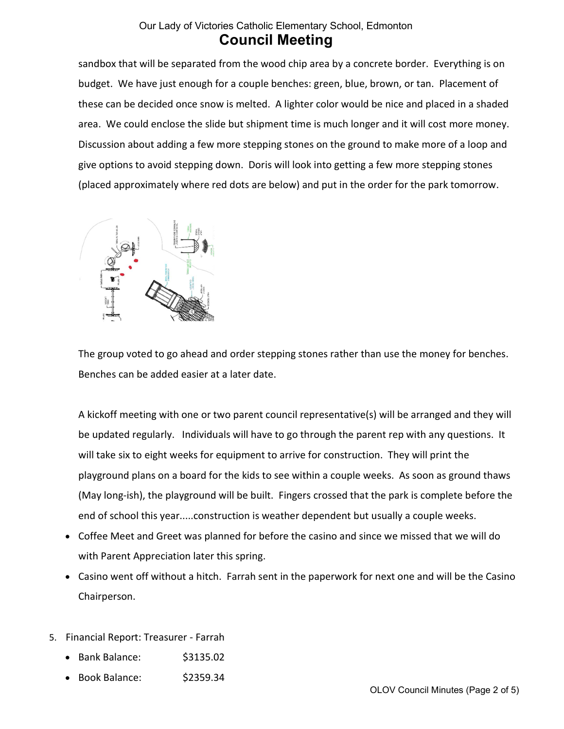sandbox that will be separated from the wood chip area by a concrete border. Everything is on budget. We have just enough for a couple benches: green, blue, brown, or tan. Placement of these can be decided once snow is melted. A lighter color would be nice and placed in a shaded area. We could enclose the slide but shipment time is much longer and it will cost more money. Discussion about adding a few more stepping stones on the ground to make more of a loop and give options to avoid stepping down. Doris will look into getting a few more stepping stones (placed approximately where red dots are below) and put in the order for the park tomorrow.



The group voted to go ahead and order stepping stones rather than use the money for benches. Benches can be added easier at a later date.

A kickoff meeting with one or two parent council representative(s) will be arranged and they will be updated regularly. Individuals will have to go through the parent rep with any questions. It will take six to eight weeks for equipment to arrive for construction. They will print the playground plans on a board for the kids to see within a couple weeks. As soon as ground thaws (May long-ish), the playground will be built. Fingers crossed that the park is complete before the end of school this year.....construction is weather dependent but usually a couple weeks.

- Coffee Meet and Greet was planned for before the casino and since we missed that we will do with Parent Appreciation later this spring.
- Casino went off without a hitch. Farrah sent in the paperwork for next one and will be the Casino Chairperson.
- 5. Financial Report: Treasurer Farrah
	- Bank Balance: \$3135.02
	- Book Balance: \$2359.34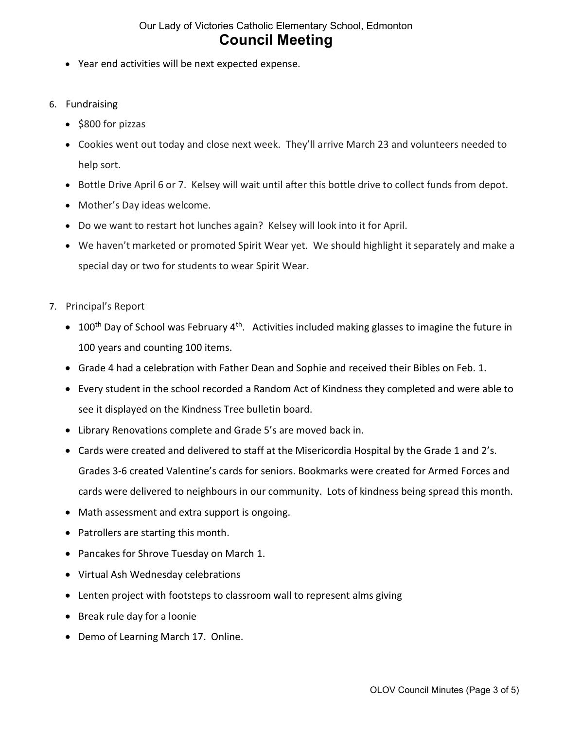- Year end activities will be next expected expense.
- 6. Fundraising
	- $\bullet$  \$800 for pizzas
	- Cookies went out today and close next week. They'll arrive March 23 and volunteers needed to help sort.
	- Bottle Drive April 6 or 7. Kelsey will wait until after this bottle drive to collect funds from depot.
	- Mother's Day ideas welcome.
	- Do we want to restart hot lunches again? Kelsey will look into it for April.
	- We haven't marketed or promoted Spirit Wear yet. We should highlight it separately and make a special day or two for students to wear Spirit Wear.
- 7. Principal's Report
	- $\bullet$  100<sup>th</sup> Day of School was February 4<sup>th</sup>. Activities included making glasses to imagine the future in 100 years and counting 100 items.
	- Grade 4 had a celebration with Father Dean and Sophie and received their Bibles on Feb. 1.
	- Every student in the school recorded a Random Act of Kindness they completed and were able to see it displayed on the Kindness Tree bulletin board.
	- Library Renovations complete and Grade 5's are moved back in.
	- Cards were created and delivered to staff at the Misericordia Hospital by the Grade 1 and 2's. Grades 3-6 created Valentine's cards for seniors. Bookmarks were created for Armed Forces and cards were delivered to neighbours in our community. Lots of kindness being spread this month.
	- Math assessment and extra support is ongoing.
	- Patrollers are starting this month.
	- Pancakes for Shrove Tuesday on March 1.
	- Virtual Ash Wednesday celebrations
	- Lenten project with footsteps to classroom wall to represent alms giving
	- Break rule day for a loonie
	- Demo of Learning March 17. Online.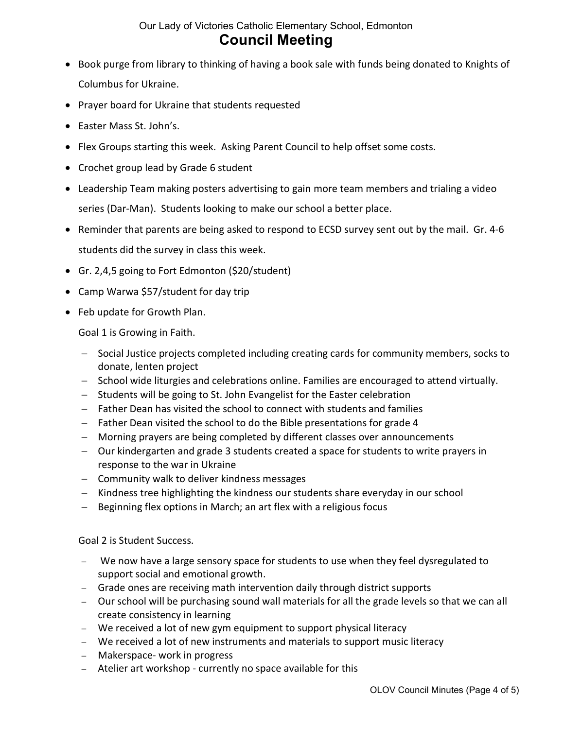- Book purge from library to thinking of having a book sale with funds being donated to Knights of Columbus for Ukraine.
- Prayer board for Ukraine that students requested
- Easter Mass St. John's.
- Flex Groups starting this week. Asking Parent Council to help offset some costs.
- Crochet group lead by Grade 6 student
- Leadership Team making posters advertising to gain more team members and trialing a video series (Dar-Man). Students looking to make our school a better place.
- Reminder that parents are being asked to respond to ECSD survey sent out by the mail. Gr. 4-6 students did the survey in class this week.
- Gr. 2,4,5 going to Fort Edmonton (\$20/student)
- Camp Warwa \$57/student for day trip
- Feb update for Growth Plan.

Goal 1 is Growing in Faith.

- Social Justice projects completed including creating cards for community members, socks to donate, lenten project
- School wide liturgies and celebrations online. Families are encouraged to attend virtually.
- Students will be going to St. John Evangelist for the Easter celebration
- Father Dean has visited the school to connect with students and families
- $-$  Father Dean visited the school to do the Bible presentations for grade 4
- Morning prayers are being completed by different classes over announcements
- Our kindergarten and grade 3 students created a space for students to write prayers in response to the war in Ukraine
- Community walk to deliver kindness messages
- Kindness tree highlighting the kindness our students share everyday in our school
- $-$  Beginning flex options in March; an art flex with a religious focus

Goal 2 is Student Success.

- We now have a large sensory space for students to use when they feel dysregulated to support social and emotional growth.
- Grade ones are receiving math intervention daily through district supports
- Our school will be purchasing sound wall materials for all the grade levels so that we can all create consistency in learning
- We received a lot of new gym equipment to support physical literacy
- We received a lot of new instruments and materials to support music literacy
- Makerspace- work in progress
- Atelier art workshop currently no space available for this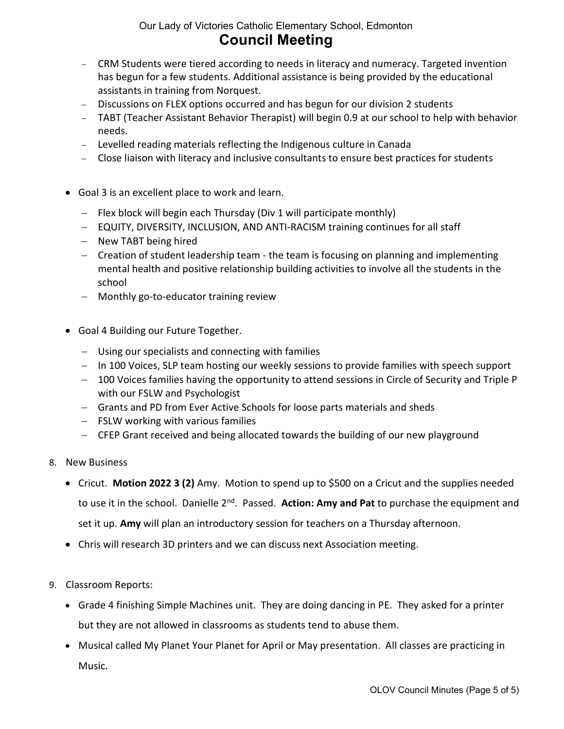- CRM Students were tiered according to needs in literacy and numeracy. Targeted invention has begun for a few students. Additional assistance is being provided by the educational assistants in training from Norquest.
- Discussions on FLEX options occurred and has begun for our division 2 students
- TABT (Teacher Assistant Behavior Therapist) will begin 0.9 at our school to help with behavior needs.
- Levelled reading materials reflecting the Indigenous culture in Canada
- Close liaison with literacy and inclusive consultants to ensure best practices for students
- Goal 3 is an excellent place to work and learn.
	- $-$  Flex block will begin each Thursday (Div 1 will participate monthly)
	- EQUITY, DIVERSITY, INCLUSION, AND ANTI-RACISM training continues for all staff
	- New TABT being hired
	- Creation of student leadership team the team is focusing on planning and implementing mental health and positive relationship building activities to involve all the students in the school
	- Monthly go-to-educator training review
- Goal 4 Building our Future Together.
	- Using our specialists and connecting with families
	- In 100 Voices, SLP team hosting our weekly sessions to provide families with speech support
	- 100 Voices families having the opportunity to attend sessions in Circle of Security and Triple P with our FSLW and Psychologist
	- Grants and PD from Ever Active Schools for loose parts materials and sheds
	- $-$  FSLW working with various families
	- CFEP Grant received and being allocated towards the building of our new playground
- 8. New Business
	- Cricut. Motion 2022 3 (2) Amy. Motion to spend up to \$500 on a Cricut and the supplies needed to use it in the school. Danielle  $2^{nd}$ . Passed. Action: Amy and Pat to purchase the equipment and set it up. Amy will plan an introductory session for teachers on a Thursday afternoon.
	- Chris will research 3D printers and we can discuss next Association meeting.
- 9. Classroom Reports:
	- Grade 4 finishing Simple Machines unit. They are doing dancing in PE. They asked for a printer but they are not allowed in classrooms as students tend to abuse them.
	- Musical called My Planet Your Planet for April or May presentation. All classes are practicing in Music.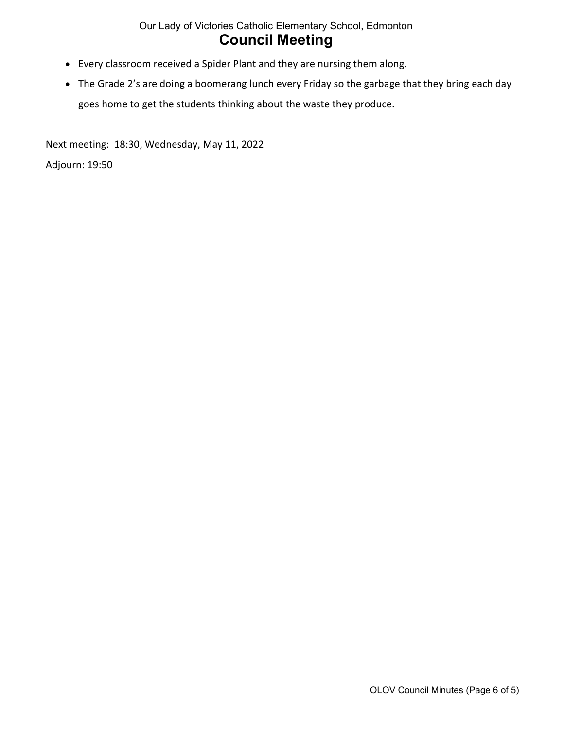- Every classroom received a Spider Plant and they are nursing them along.
- The Grade 2's are doing a boomerang lunch every Friday so the garbage that they bring each day goes home to get the students thinking about the waste they produce.

Next meeting: 18:30, Wednesday, May 11, 2022

Adjourn: 19:50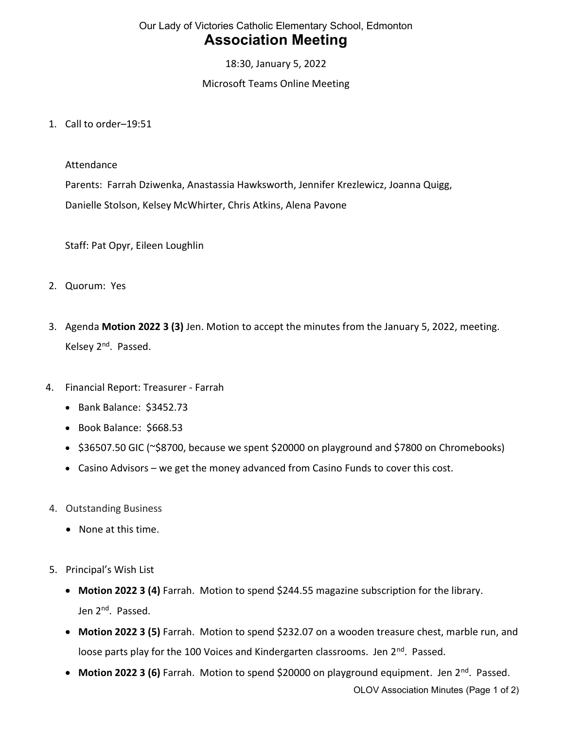18:30, January 5, 2022

#### Microsoft Teams Online Meeting

1. Call to order–19:51

Attendance

Parents: Farrah Dziwenka, Anastassia Hawksworth, Jennifer Krezlewicz, Joanna Quigg, Danielle Stolson, Kelsey McWhirter, Chris Atkins, Alena Pavone

Staff: Pat Opyr, Eileen Loughlin

- 2. Quorum: Yes
- 3. Agenda Motion 2022 3 (3) Jen. Motion to accept the minutes from the January 5, 2022, meeting. Kelsey 2<sup>nd</sup>. Passed.
- 4. Financial Report: Treasurer Farrah
	- Bank Balance: \$3452.73
	- Book Balance: \$668.53
	- \$36507.50 GIC (~\$8700, because we spent \$20000 on playground and \$7800 on Chromebooks)
	- Casino Advisors we get the money advanced from Casino Funds to cover this cost.
- 4. Outstanding Business
	- None at this time.
- 5. Principal's Wish List
	- Motion 2022 3 (4) Farrah. Motion to spend \$244.55 magazine subscription for the library. Jen 2<sup>nd</sup>. Passed.
	- Motion 2022 3 (5) Farrah. Motion to spend \$232.07 on a wooden treasure chest, marble run, and loose parts play for the 100 Voices and Kindergarten classrooms. Jen 2<sup>nd</sup>. Passed.
	- Motion 2022 3 (6) Farrah. Motion to spend \$20000 on playground equipment. Jen 2<sup>nd</sup>. Passed.